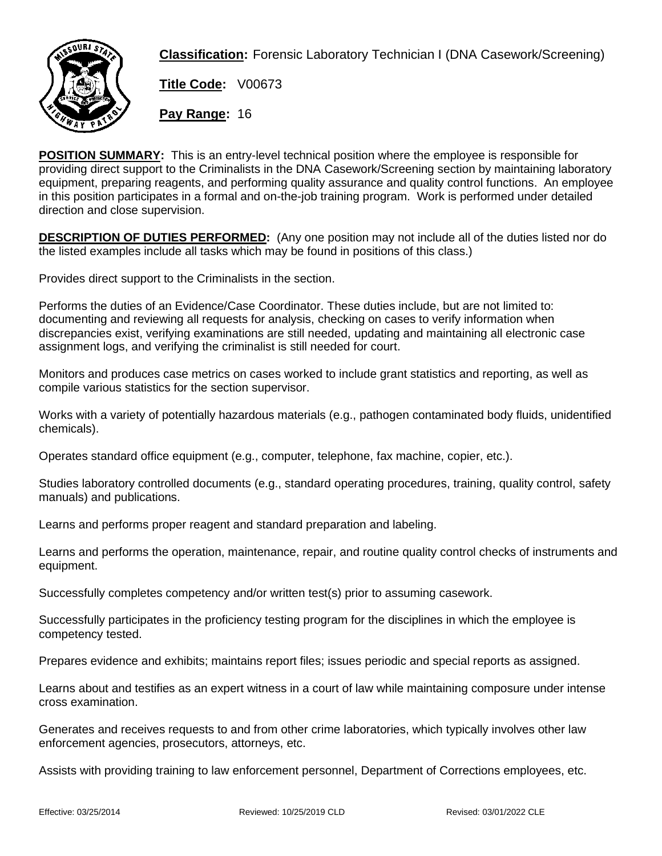

**Classification:** Forensic Laboratory Technician I (DNA Casework/Screening)

**Title Code:** V00673

**Pay Range:** 16

**POSITION SUMMARY:** This is an entry-level technical position where the employee is responsible for providing direct support to the Criminalists in the DNA Casework/Screening section by maintaining laboratory equipment, preparing reagents, and performing quality assurance and quality control functions. An employee in this position participates in a formal and on-the-job training program. Work is performed under detailed direction and close supervision.

**DESCRIPTION OF DUTIES PERFORMED:** (Any one position may not include all of the duties listed nor do the listed examples include all tasks which may be found in positions of this class.)

Provides direct support to the Criminalists in the section.

Performs the duties of an Evidence/Case Coordinator. These duties include, but are not limited to: documenting and reviewing all requests for analysis, checking on cases to verify information when discrepancies exist, verifying examinations are still needed, updating and maintaining all electronic case assignment logs, and verifying the criminalist is still needed for court.

Monitors and produces case metrics on cases worked to include grant statistics and reporting, as well as compile various statistics for the section supervisor.

Works with a variety of potentially hazardous materials (e.g., pathogen contaminated body fluids, unidentified chemicals).

Operates standard office equipment (e.g., computer, telephone, fax machine, copier, etc.).

Studies laboratory controlled documents (e.g., standard operating procedures, training, quality control, safety manuals) and publications.

Learns and performs proper reagent and standard preparation and labeling.

Learns and performs the operation, maintenance, repair, and routine quality control checks of instruments and equipment.

Successfully completes competency and/or written test(s) prior to assuming casework.

Successfully participates in the proficiency testing program for the disciplines in which the employee is competency tested.

Prepares evidence and exhibits; maintains report files; issues periodic and special reports as assigned.

Learns about and testifies as an expert witness in a court of law while maintaining composure under intense cross examination.

Generates and receives requests to and from other crime laboratories, which typically involves other law enforcement agencies, prosecutors, attorneys, etc.

Assists with providing training to law enforcement personnel, Department of Corrections employees, etc.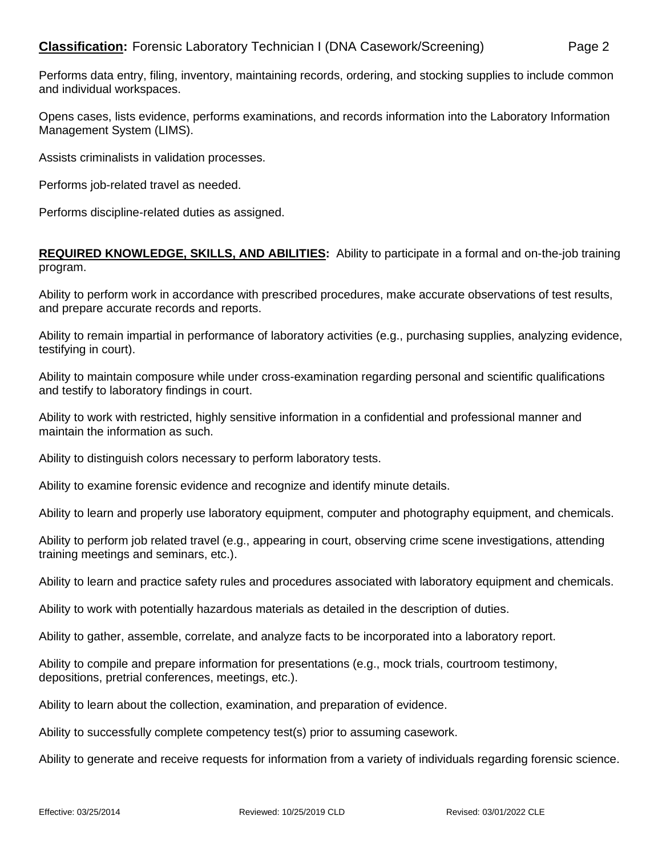Performs data entry, filing, inventory, maintaining records, ordering, and stocking supplies to include common and individual workspaces.

Opens cases, lists evidence, performs examinations, and records information into the Laboratory Information Management System (LIMS).

Assists criminalists in validation processes.

Performs job-related travel as needed.

Performs discipline-related duties as assigned.

## **REQUIRED KNOWLEDGE, SKILLS, AND ABILITIES:** Ability to participate in a formal and on-the-job training program.

Ability to perform work in accordance with prescribed procedures, make accurate observations of test results, and prepare accurate records and reports.

Ability to remain impartial in performance of laboratory activities (e.g., purchasing supplies, analyzing evidence, testifying in court).

Ability to maintain composure while under cross-examination regarding personal and scientific qualifications and testify to laboratory findings in court.

Ability to work with restricted, highly sensitive information in a confidential and professional manner and maintain the information as such.

Ability to distinguish colors necessary to perform laboratory tests.

Ability to examine forensic evidence and recognize and identify minute details.

Ability to learn and properly use laboratory equipment, computer and photography equipment, and chemicals.

Ability to perform job related travel (e.g., appearing in court, observing crime scene investigations, attending training meetings and seminars, etc.).

Ability to learn and practice safety rules and procedures associated with laboratory equipment and chemicals.

Ability to work with potentially hazardous materials as detailed in the description of duties.

Ability to gather, assemble, correlate, and analyze facts to be incorporated into a laboratory report.

Ability to compile and prepare information for presentations (e.g., mock trials, courtroom testimony, depositions, pretrial conferences, meetings, etc.).

Ability to learn about the collection, examination, and preparation of evidence.

Ability to successfully complete competency test(s) prior to assuming casework.

Ability to generate and receive requests for information from a variety of individuals regarding forensic science.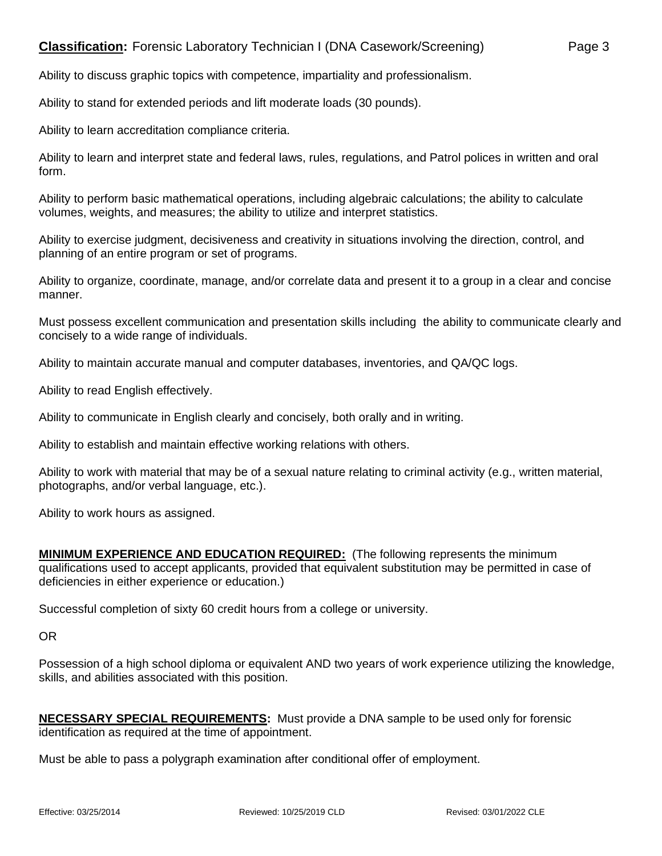Ability to discuss graphic topics with competence, impartiality and professionalism.

Ability to stand for extended periods and lift moderate loads (30 pounds).

Ability to learn accreditation compliance criteria.

Ability to learn and interpret state and federal laws, rules, regulations, and Patrol polices in written and oral form.

Ability to perform basic mathematical operations, including algebraic calculations; the ability to calculate volumes, weights, and measures; the ability to utilize and interpret statistics.

Ability to exercise judgment, decisiveness and creativity in situations involving the direction, control, and planning of an entire program or set of programs.

Ability to organize, coordinate, manage, and/or correlate data and present it to a group in a clear and concise manner.

Must possess excellent communication and presentation skills including the ability to communicate clearly and concisely to a wide range of individuals.

Ability to maintain accurate manual and computer databases, inventories, and QA/QC logs.

Ability to read English effectively.

Ability to communicate in English clearly and concisely, both orally and in writing.

Ability to establish and maintain effective working relations with others.

Ability to work with material that may be of a sexual nature relating to criminal activity (e.g., written material, photographs, and/or verbal language, etc.).

Ability to work hours as assigned.

**MINIMUM EXPERIENCE AND EDUCATION REQUIRED:** (The following represents the minimum qualifications used to accept applicants, provided that equivalent substitution may be permitted in case of deficiencies in either experience or education.)

Successful completion of sixty 60 credit hours from a college or university.

OR

Possession of a high school diploma or equivalent AND two years of work experience utilizing the knowledge, skills, and abilities associated with this position.

**NECESSARY SPECIAL REQUIREMENTS:** Must provide a DNA sample to be used only for forensic identification as required at the time of appointment.

Must be able to pass a polygraph examination after conditional offer of employment.